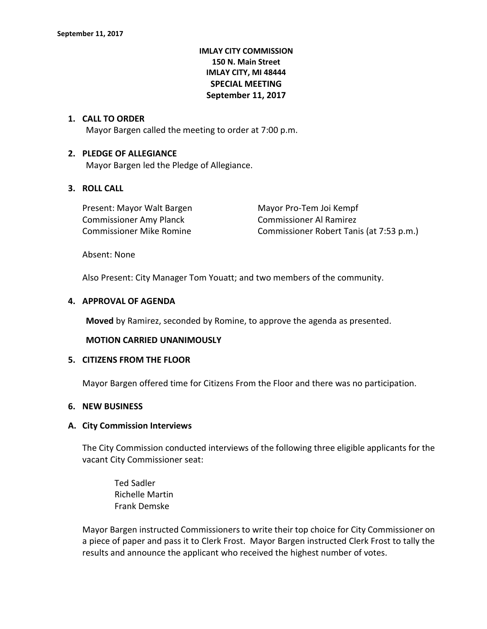# **IMLAY CITY COMMISSION 150 N. Main Street IMLAY CITY, MI 48444 SPECIAL MEETING September 11, 2017**

### **1. CALL TO ORDER**

Mayor Bargen called the meeting to order at 7:00 p.m.

### **2. PLEDGE OF ALLEGIANCE**

Mayor Bargen led the Pledge of Allegiance.

# **3. ROLL CALL**

| Present: Mayor Walt Bargen      | Mayor Pro-Tem Joi Kempf                  |
|---------------------------------|------------------------------------------|
| <b>Commissioner Amy Planck</b>  | Commissioner Al Ramirez                  |
| <b>Commissioner Mike Romine</b> | Commissioner Robert Tanis (at 7:53 p.m.) |

Absent: None

Also Present: City Manager Tom Youatt; and two members of the community.

#### **4. APPROVAL OF AGENDA**

**Moved** by Ramirez, seconded by Romine, to approve the agenda as presented.

#### **MOTION CARRIED UNANIMOUSLY**

#### **5. CITIZENS FROM THE FLOOR**

Mayor Bargen offered time for Citizens From the Floor and there was no participation.

#### **6. NEW BUSINESS**

#### **A. City Commission Interviews**

The City Commission conducted interviews of the following three eligible applicants for the vacant City Commissioner seat:

Ted Sadler Richelle Martin Frank Demske

Mayor Bargen instructed Commissioners to write their top choice for City Commissioner on a piece of paper and pass it to Clerk Frost. Mayor Bargen instructed Clerk Frost to tally the results and announce the applicant who received the highest number of votes.